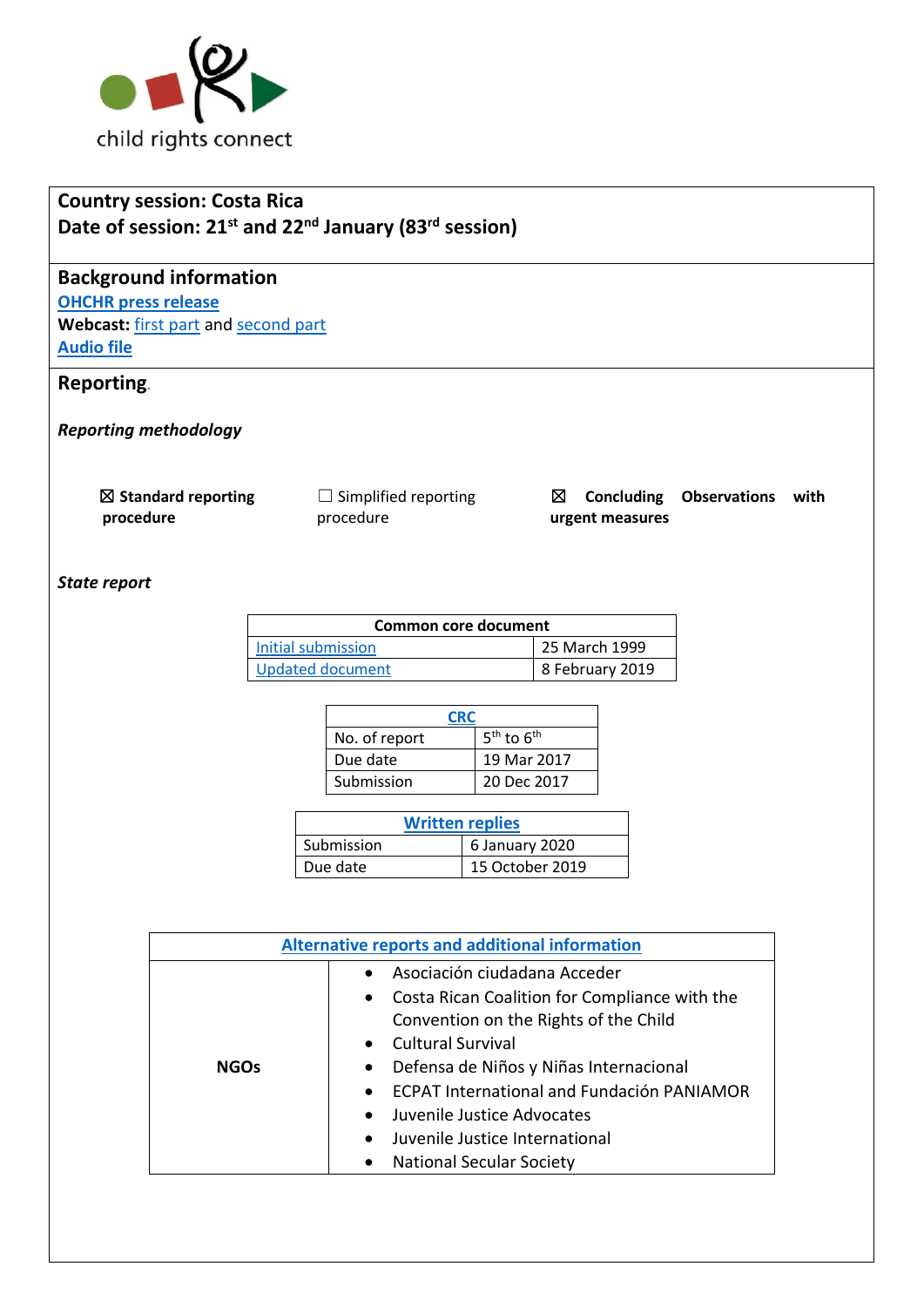

## **Country session: Costa Rica Date of session: 21st and 22nd January (83rd session)**

# **Background information**

**[OHCHR press release](https://www.ohchr.org/EN/NewsEvents/Pages/DisplayNews.aspx?NewsID=25498&LangID=E) Webcast:** [first part](http://webtv.un.org/meetings-events/human-rights-treaty-bodies/watch/consideration-of-costa-rica-2434th-meeting-83rd-session-committee-on-the-rights-of-the-child/6125305876001) an[d second part](http://webtv.un.org/meetings-events/human-rights-treaty-bodies/watch/consideration-of-costa-rica-contd-2435th-meeting-83rd-session-committee-on-the-rights-of-the-child/6125544337001/?term=) **[Audio file](https://conf.unog.ch/digitalrecordings/)**

## **Reporting***.*

*Reporting methodology*

☒ **Standard reporting procedure**

 $\Box$  Simplified reporting procedure

☒ **Concluding Observations with urgent measures**

#### *State report*

| Common core document    |                 |  |
|-------------------------|-----------------|--|
| Initial submission      | 25 March 1999   |  |
| <b>Updated document</b> | 8 February 2019 |  |

| CRC           |                |
|---------------|----------------|
| No. of report | $5th$ to $6th$ |
| Due date      | 19 Mar 2017    |
| Submission    | 20 Dec 2017    |

| <b>Written replies</b> |                 |  |
|------------------------|-----------------|--|
| Submission             | 6 January 2020  |  |
| Due date               | 15 October 2019 |  |

| <b>Alternative reports and additional information</b> |                                                                                                                                                                                                                                                                                                                                                                        |  |
|-------------------------------------------------------|------------------------------------------------------------------------------------------------------------------------------------------------------------------------------------------------------------------------------------------------------------------------------------------------------------------------------------------------------------------------|--|
| <b>NGOs</b>                                           | Asociación ciudadana Acceder<br>Costa Rican Coalition for Compliance with the<br>$\bullet$<br>Convention on the Rights of the Child<br><b>Cultural Survival</b><br>Defensa de Niños y Niñas Internacional<br>٠<br><b>ECPAT International and Fundación PANIAMOR</b><br>Juvenile Justice Advocates<br>Juvenile Justice International<br><b>National Secular Society</b> |  |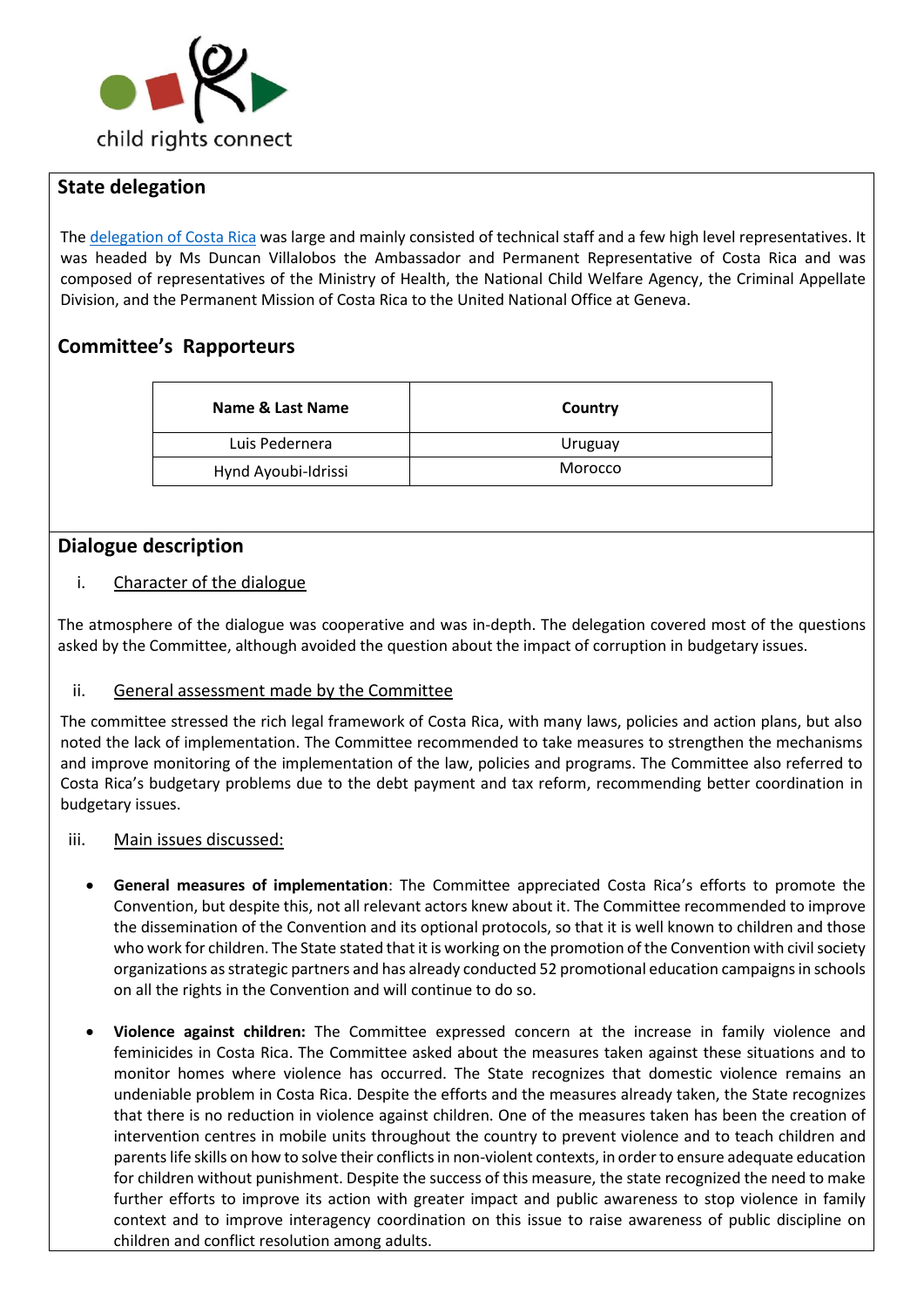

### **State delegation**

The [delegation of Costa Rica](https://tbinternet.ohchr.org/Treaties/CRC/Shared%20Documents/CRI/INT_CRC_LOP_CRI_41011_S.pdf) was large and mainly consisted of technical staff and a few high level representatives. It was headed by Ms Duncan Villalobos the Ambassador and Permanent Representative of Costa Rica and was composed of representatives of the Ministry of Health, the National Child Welfare Agency, the Criminal Appellate Division, and the Permanent Mission of Costa Rica to the United National Office at Geneva.

## **Committee's Rapporteurs**

| Name & Last Name    | Country |
|---------------------|---------|
| Luis Pedernera      | Uruguay |
| Hynd Ayoubi-Idrissi | Morocco |

### **Dialogue description**

#### i. Character of the dialogue

The atmosphere of the dialogue was cooperative and was in-depth. The delegation covered most of the questions asked by the Committee, although avoided the question about the impact of corruption in budgetary issues.

#### ii. General assessment made by the Committee

The committee stressed the rich legal framework of Costa Rica, with many laws, policies and action plans, but also noted the lack of implementation. The Committee recommended to take measures to strengthen the mechanisms and improve monitoring of the implementation of the law, policies and programs. The Committee also referred to Costa Rica's budgetary problems due to the debt payment and tax reform, recommending better coordination in budgetary issues.

- iii. Main issues discussed:
	- **General measures of implementation**: The Committee appreciated Costa Rica's efforts to promote the Convention, but despite this, not all relevant actors knew about it. The Committee recommended to improve the dissemination of the Convention and its optional protocols, so that it is well known to children and those who work for children. The State stated that it is working on the promotion of the Convention with civil society organizations as strategic partners and has already conducted 52 promotional education campaigns in schools on all the rights in the Convention and will continue to do so.
	- **Violence against children:** The Committee expressed concern at the increase in family violence and feminicides in Costa Rica. The Committee asked about the measures taken against these situations and to monitor homes where violence has occurred. The State recognizes that domestic violence remains an undeniable problem in Costa Rica. Despite the efforts and the measures already taken, the State recognizes that there is no reduction in violence against children. One of the measures taken has been the creation of intervention centres in mobile units throughout the country to prevent violence and to teach children and parents life skills on how to solve their conflicts in non-violent contexts, in order to ensure adequate education for children without punishment. Despite the success of this measure, the state recognized the need to make further efforts to improve its action with greater impact and public awareness to stop violence in family context and to improve interagency coordination on this issue to raise awareness of public discipline on children and conflict resolution among adults.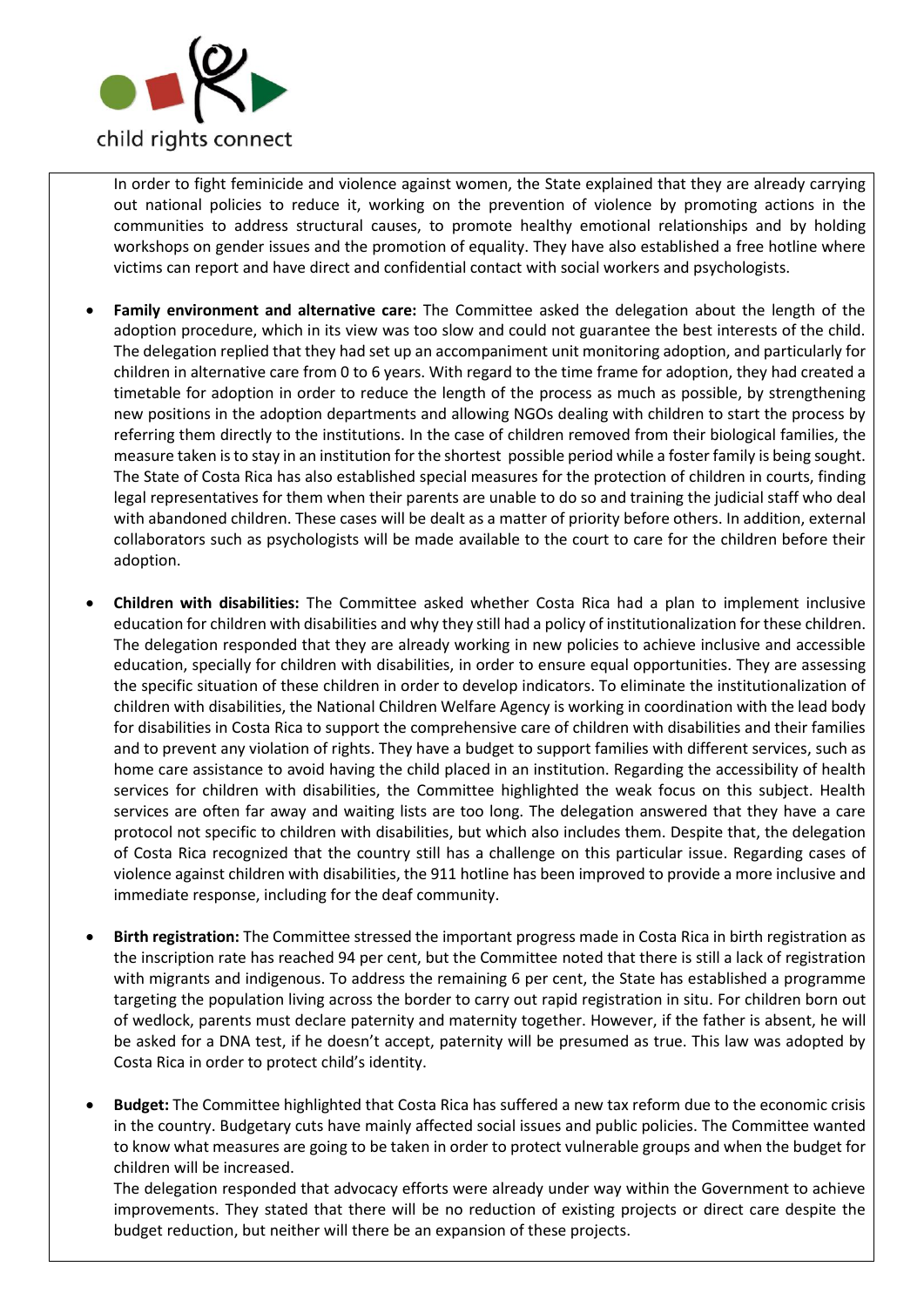

In order to fight feminicide and violence against women, the State explained that they are already carrying out national policies to reduce it, working on the prevention of violence by promoting actions in the communities to address structural causes, to promote healthy emotional relationships and by holding workshops on gender issues and the promotion of equality. They have also established a free hotline where victims can report and have direct and confidential contact with social workers and psychologists.

- **Family environment and alternative care:** The Committee asked the delegation about the length of the adoption procedure, which in its view was too slow and could not guarantee the best interests of the child. The delegation replied that they had set up an accompaniment unit monitoring adoption, and particularly for children in alternative care from 0 to 6 years. With regard to the time frame for adoption, they had created a timetable for adoption in order to reduce the length of the process as much as possible, by strengthening new positions in the adoption departments and allowing NGOs dealing with children to start the process by referring them directly to the institutions. In the case of children removed from their biological families, the measure taken is to stay in an institution for the shortest possible period while a foster family is being sought. The State of Costa Rica has also established special measures for the protection of children in courts, finding legal representatives for them when their parents are unable to do so and training the judicial staff who deal with abandoned children. These cases will be dealt as a matter of priority before others. In addition, external collaborators such as psychologists will be made available to the court to care for the children before their adoption.
- **Children with disabilities:** The Committee asked whether Costa Rica had a plan to implement inclusive education for children with disabilities and why they still had a policy of institutionalization for these children. The delegation responded that they are already working in new policies to achieve inclusive and accessible education, specially for children with disabilities, in order to ensure equal opportunities. They are assessing the specific situation of these children in order to develop indicators. To eliminate the institutionalization of children with disabilities, the National Children Welfare Agency is working in coordination with the lead body for disabilities in Costa Rica to support the comprehensive care of children with disabilities and their families and to prevent any violation of rights. They have a budget to support families with different services, such as home care assistance to avoid having the child placed in an institution. Regarding the accessibility of health services for children with disabilities, the Committee highlighted the weak focus on this subject. Health services are often far away and waiting lists are too long. The delegation answered that they have a care protocol not specific to children with disabilities, but which also includes them. Despite that, the delegation of Costa Rica recognized that the country still has a challenge on this particular issue. Regarding cases of violence against children with disabilities, the 911 hotline has been improved to provide a more inclusive and immediate response, including for the deaf community.
- **Birth registration:** The Committee stressed the important progress made in Costa Rica in birth registration as the inscription rate has reached 94 per cent, but the Committee noted that there is still a lack of registration with migrants and indigenous. To address the remaining 6 per cent, the State has established a programme targeting the population living across the border to carry out rapid registration in situ. For children born out of wedlock, parents must declare paternity and maternity together. However, if the father is absent, he will be asked for a DNA test, if he doesn't accept, paternity will be presumed as true. This law was adopted by Costa Rica in order to protect child's identity.
- **Budget:** The Committee highlighted that Costa Rica has suffered a new tax reform due to the economic crisis in the country. Budgetary cuts have mainly affected social issues and public policies. The Committee wanted to know what measures are going to be taken in order to protect vulnerable groups and when the budget for children will be increased.

The delegation responded that advocacy efforts were already under way within the Government to achieve improvements. They stated that there will be no reduction of existing projects or direct care despite the budget reduction, but neither will there be an expansion of these projects.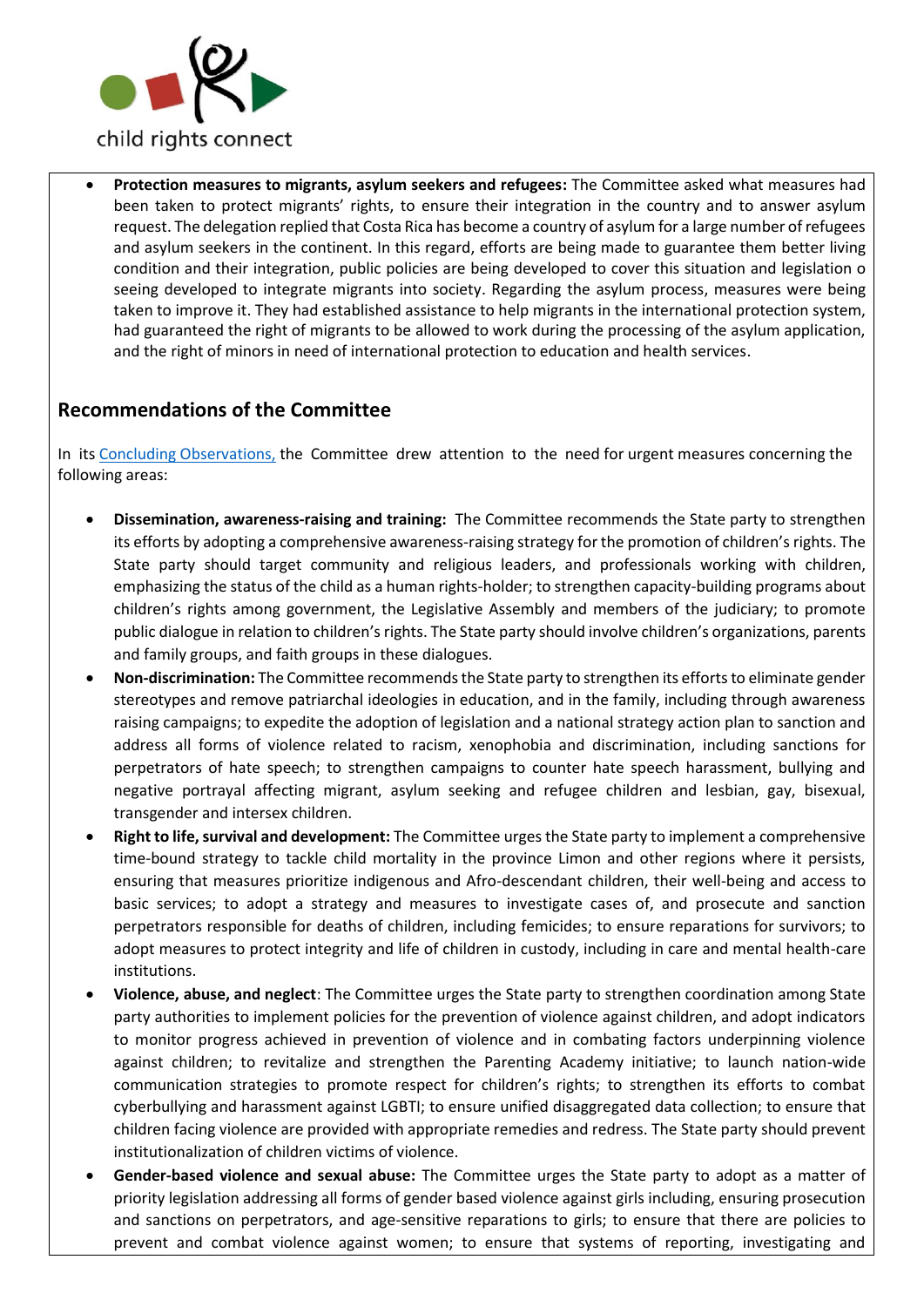

• **Protection measures to migrants, asylum seekers and refugees:** The Committee asked what measures had been taken to protect migrants' rights, to ensure their integration in the country and to answer asylum request. The delegation replied that Costa Rica has become a country of asylum for a large number of refugees and asylum seekers in the continent. In this regard, efforts are being made to guarantee them better living condition and their integration, public policies are being developed to cover this situation and legislation o seeing developed to integrate migrants into society. Regarding the asylum process, measures were being taken to improve it. They had established assistance to help migrants in the international protection system, had guaranteed the right of migrants to be allowed to work during the processing of the asylum application, and the right of minors in need of international protection to education and health services.

## **Recommendations of the Committee**

In its [Concluding Observations,](https://tbinternet.ohchr.org/Treaties/CRC/Shared%20Documents/CRI/CRC_C_CRI_CO_5-6_41512_E.pdf) the Committee drew attention to the need for urgent measures concerning the following areas:

- **Dissemination, awareness-raising and training:** The Committee recommends the State party to strengthen its efforts by adopting a comprehensive awareness-raising strategy for the promotion of children's rights. The State party should target community and religious leaders, and professionals working with children, emphasizing the status of the child as a human rights-holder; to strengthen capacity-building programs about children's rights among government, the Legislative Assembly and members of the judiciary; to promote public dialogue in relation to children's rights. The State party should involve children's organizations, parents and family groups, and faith groups in these dialogues.
- **Non-discrimination:** The Committee recommends the State party to strengthen its efforts to eliminate gender stereotypes and remove patriarchal ideologies in education, and in the family, including through awareness raising campaigns; to expedite the adoption of legislation and a national strategy action plan to sanction and address all forms of violence related to racism, xenophobia and discrimination, including sanctions for perpetrators of hate speech; to strengthen campaigns to counter hate speech harassment, bullying and negative portrayal affecting migrant, asylum seeking and refugee children and lesbian, gay, bisexual, transgender and intersex children.
- **Right to life, survival and development:** The Committee urges the State party to implement a comprehensive time-bound strategy to tackle child mortality in the province Limon and other regions where it persists, ensuring that measures prioritize indigenous and Afro-descendant children, their well-being and access to basic services; to adopt a strategy and measures to investigate cases of, and prosecute and sanction perpetrators responsible for deaths of children, including femicides; to ensure reparations for survivors; to adopt measures to protect integrity and life of children in custody, including in care and mental health-care institutions.
- **Violence, abuse, and neglect**: The Committee urges the State party to strengthen coordination among State party authorities to implement policies for the prevention of violence against children, and adopt indicators to monitor progress achieved in prevention of violence and in combating factors underpinning violence against children; to revitalize and strengthen the Parenting Academy initiative; to launch nation-wide communication strategies to promote respect for children's rights; to strengthen its efforts to combat cyberbullying and harassment against LGBTI; to ensure unified disaggregated data collection; to ensure that children facing violence are provided with appropriate remedies and redress. The State party should prevent institutionalization of children victims of violence.
- **Gender-based violence and sexual abuse:** The Committee urges the State party to adopt as a matter of priority legislation addressing all forms of gender based violence against girls including, ensuring prosecution and sanctions on perpetrators, and age-sensitive reparations to girls; to ensure that there are policies to prevent and combat violence against women; to ensure that systems of reporting, investigating and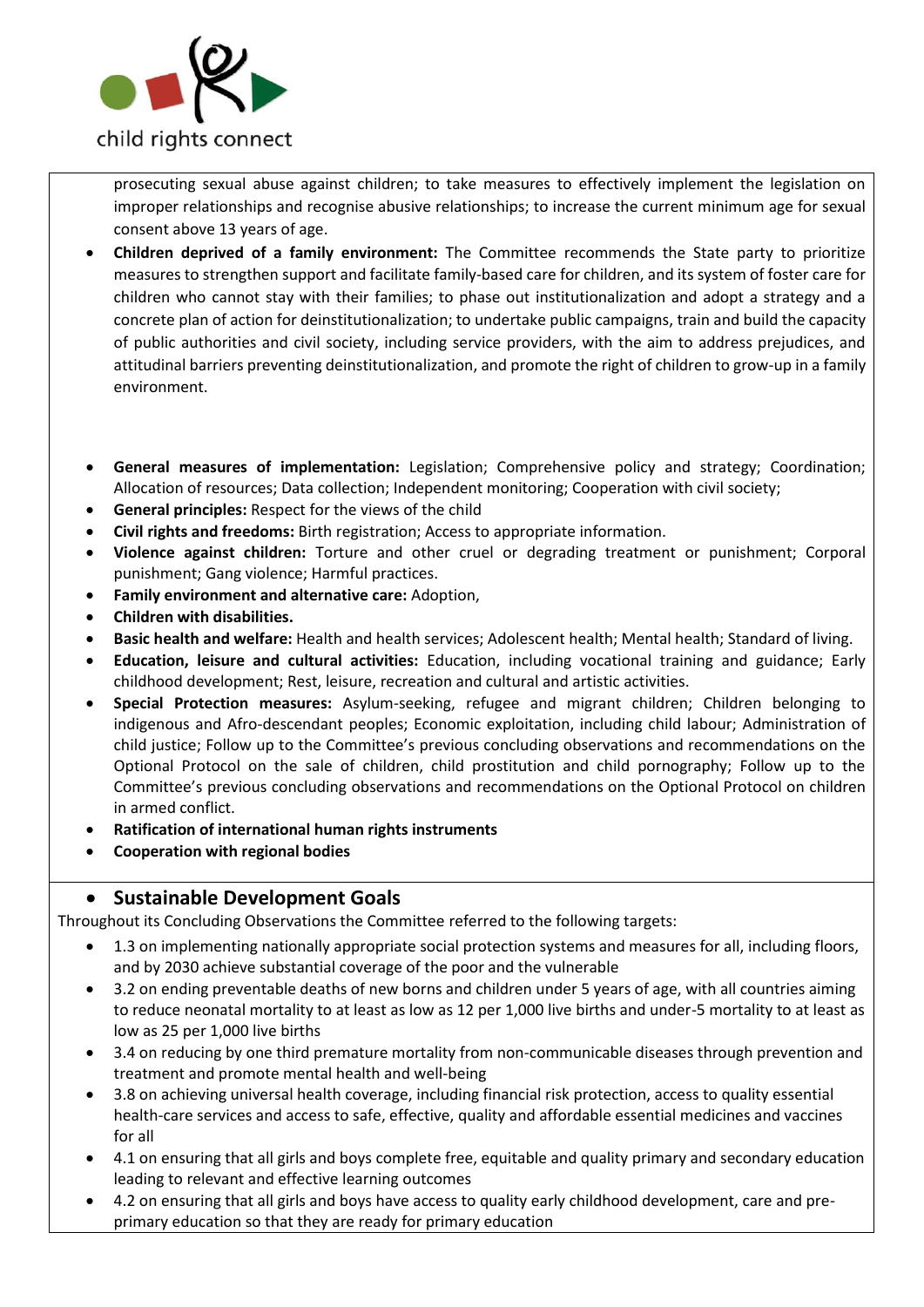

prosecuting sexual abuse against children; to take measures to effectively implement the legislation on improper relationships and recognise abusive relationships; to increase the current minimum age for sexual consent above 13 years of age.

- **Children deprived of a family environment:** The Committee recommends the State party to prioritize measures to strengthen support and facilitate family-based care for children, and its system of foster care for children who cannot stay with their families; to phase out institutionalization and adopt a strategy and a concrete plan of action for deinstitutionalization; to undertake public campaigns, train and build the capacity of public authorities and civil society, including service providers, with the aim to address prejudices, and attitudinal barriers preventing deinstitutionalization, and promote the right of children to grow-up in a family environment.
- **General measures of implementation:** Legislation; Comprehensive policy and strategy; Coordination; Allocation of resources; Data collection; Independent monitoring; Cooperation with civil society;
- **General principles:** Respect for the views of the child
- **Civil rights and freedoms:** Birth registration; Access to appropriate information.
- **Violence against children:** Torture and other cruel or degrading treatment or punishment; Corporal punishment; Gang violence; Harmful practices.
- **Family environment and alternative care:** Adoption,
- **Children with disabilities.**
- **Basic health and welfare:** Health and health services; Adolescent health; Mental health; Standard of living.
- **Education, leisure and cultural activities:** Education, including vocational training and guidance; Early childhood development; Rest, leisure, recreation and cultural and artistic activities.
- **Special Protection measures:** Asylum-seeking, refugee and migrant children; Children belonging to indigenous and Afro-descendant peoples; Economic exploitation, including child labour; Administration of child justice; Follow up to the Committee's previous concluding observations and recommendations on the Optional Protocol on the sale of children, child prostitution and child pornography; Follow up to the Committee's previous concluding observations and recommendations on the Optional Protocol on children in armed conflict.
- **Ratification of international human rights instruments**
- **Cooperation with regional bodies**

### • **Sustainable Development Goals**

Throughout its Concluding Observations the Committee referred to the following targets:

- 1.3 on implementing nationally appropriate social protection systems and measures for all, including floors, and by 2030 achieve substantial coverage of the poor and the vulnerable
- 3.2 on ending preventable deaths of new borns and children under 5 years of age, with all countries aiming to reduce neonatal mortality to at least as low as 12 per 1,000 live births and under-5 mortality to at least as low as 25 per 1,000 live births
- 3.4 on reducing by one third premature mortality from non-communicable diseases through prevention and treatment and promote mental health and well-being
- 3.8 on achieving universal health coverage, including financial risk protection, access to quality essential health-care services and access to safe, effective, quality and affordable essential medicines and vaccines for all
- 4.1 on ensuring that all girls and boys complete free, equitable and quality primary and secondary education leading to relevant and effective learning outcomes
- 4.2 on ensuring that all girls and boys have access to quality early childhood development, care and preprimary education so that they are ready for primary education